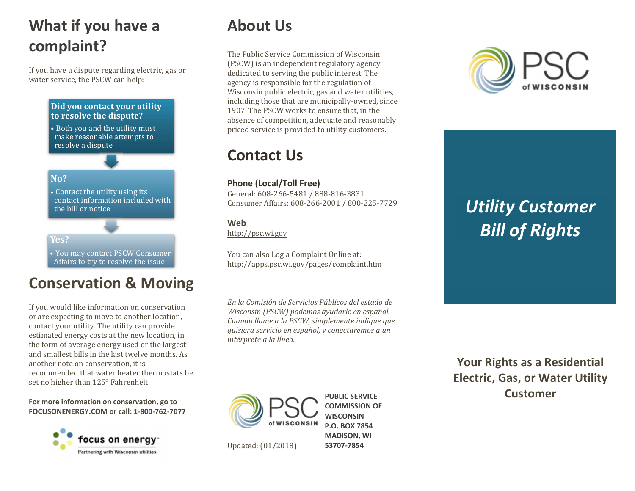## What if you have a complaint?

If you have a dispute regarding electric, gas or water service, the PSCW can help:

#### Did you contact your utility to resolve the dispute? • Both you and the utility must make reasonable attempts to

resolve a dispute

#### No? **No.** 2008. The contract of the contract of the contract of the contract of the contract of the contract of the contract of the contract of the contract of the contract of the contract of the contract of the contract o

• Contact the utility using its contact information included with the bill or notice

#### Yes?

• You may contact PSCW Consumer Affairs to try to resolve the issue

### Conservation & Moving

If you would like information on conservation or are expecting to move to another location, contact your utility. The utility can provide estimated energy costs at the new location, in the form of average energy used or the largest and smallest bills in the last twelve months. As another note on conservation, it is recommended that water heater thermostats be set no higher than 125° Fahrenheit.

For more information on conservation, go to FOCUSONENERGY.COM or call: 1-800-762-7077



### About Us

The Public Service Commission of Wisconsin (PSCW) is an independent regulatory agency dedicated to serving the public interest. The agency is responsible for the regulation of Wisconsin public electric, gas and water utilities, including those that are municipally-owned, since 1907. The PSCW works to ensure that, in the absence of competition, adequate and reasonably priced service is provided to utility customers.

### Contact Us

#### Phone (Local/Toll Free)

General: 608-266-5481 / 888-816-3831 Consumer Affairs: 608-266-2001 / 800-225-7729

#### Web

http://psc.wi.gov

You can also Log a Complaint Online at: http://[apps.psc.wi.gov/pages/complaint.htm](http://apps.psc.wi.gov/pages/complaint.htm)

En la Comisión de Servicios Públicos del estado de Wisconsin (PSCW) podemos ayudarle en español. Cuando llame a la PSCW, simplemente indique que quisiera servicio en español, y conectaremos a un intérprete a la línea.



Updated: (01/2018)

PUBLIC SERVICE COMMISSION OF **WISCONSIN** P.O. BOX 7854 MADISON, WI 53707-7854



# Utility Customer Bill of Rights

Your Rights as a Residential Electric, Gas, or Water Utility Customer